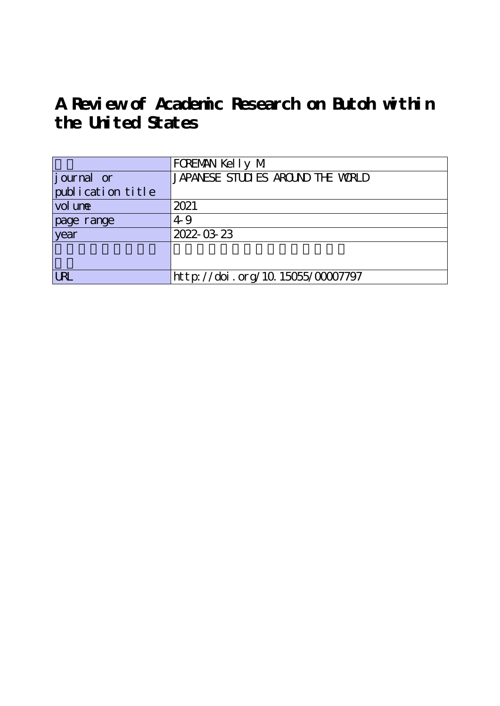**A Review of Academic Research on Butoh within the United States**

|                     | FOREMAN Kelly M                   |
|---------------------|-----------------------------------|
| journal or          | JAPANESE STUDIES AROUND THE WORLD |
| publication title   |                                   |
| vol un <del>e</del> | 2021                              |
| page range          | 4.9                               |
| year                | 2022-03-23                        |
|                     |                                   |
|                     |                                   |
| <b>LRL</b>          | http://doi.org/10.15055/00007797  |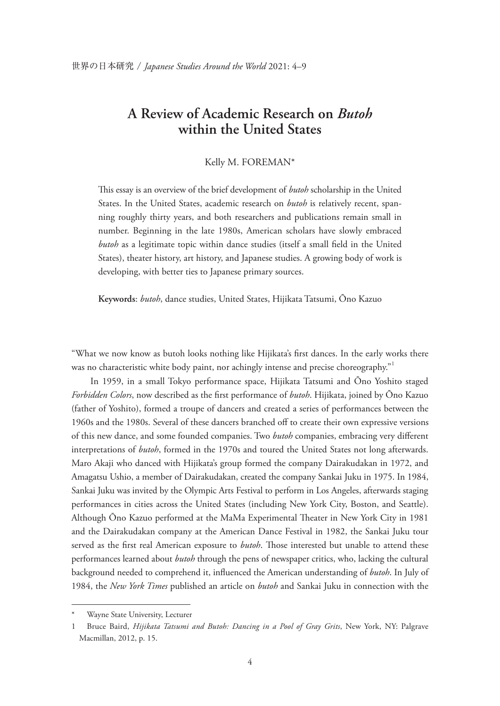## **A Review of Academic Research on** *Butoh* **within the United States**

## Kelly M. FOREMAN\*

This essay is an overview of the brief development of *butoh* scholarship in the United States. In the United States, academic research on *butoh* is relatively recent, spanning roughly thirty years, and both researchers and publications remain small in number. Beginning in the late 1980s, American scholars have slowly embraced *butoh* as a legitimate topic within dance studies (itself a small feld in the United States), theater history, art history, and Japanese studies. A growing body of work is developing, with better ties to Japanese primary sources.

**Keywords**: *butoh*, dance studies, United States, Hijikata Tatsumi, Ōno Kazuo

"What we now know as butoh looks nothing like Hijikata's frst dances. In the early works there was no characteristic white body paint, nor achingly intense and precise choreography.<sup>"1</sup>

In 1959, in a small Tokyo performance space, Hijikata Tatsumi and Ōno Yoshito staged *Forbidden Colors*, now described as the frst performance of *butoh*. Hijikata, joined by Ōno Kazuo (father of Yoshito), formed a troupe of dancers and created a series of performances between the 1960s and the 1980s. Several of these dancers branched of to create their own expressive versions of this new dance, and some founded companies. Two *butoh* companies, embracing very diferent interpretations of *butoh*, formed in the 1970s and toured the United States not long afterwards. Maro Akaji who danced with Hijikata's group formed the company Dairakudakan in 1972, and Amagatsu Ushio, a member of Dairakudakan, created the company Sankai Juku in 1975. In 1984, Sankai Juku was invited by the Olympic Arts Festival to perform in Los Angeles, afterwards staging performances in cities across the United States (including New York City, Boston, and Seattle). Although Ōno Kazuo performed at the MaMa Experimental Theater in New York City in 1981 and the Dairakudakan company at the American Dance Festival in 1982, the Sankai Juku tour served as the first real American exposure to *butoh*. Those interested but unable to attend these performances learned about *butoh* through the pens of newspaper critics, who, lacking the cultural background needed to comprehend it, infuenced the American understanding of *butoh*. In July of 1984, the *New York Times* published an article on *butoh* and Sankai Juku in connection with the

Wayne State University, Lecturer

<sup>1</sup> Bruce Baird, *Hijikata Tatsumi and Butoh: Dancing in a Pool of Gray Grits*, New York, NY: Palgrave Macmillan, 2012, p. 15.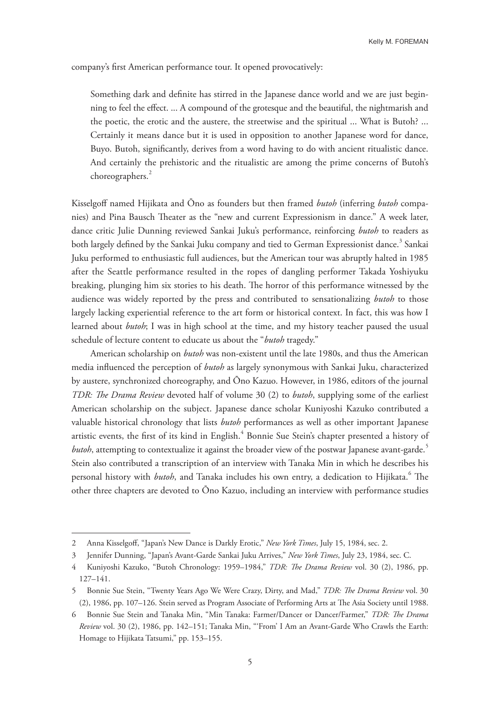company's frst American performance tour. It opened provocatively:

Something dark and defnite has stirred in the Japanese dance world and we are just beginning to feel the efect. ... A compound of the grotesque and the beautiful, the nightmarish and the poetic, the erotic and the austere, the streetwise and the spiritual ... What is Butoh? ... Certainly it means dance but it is used in opposition to another Japanese word for dance, Buyo. Butoh, signifcantly, derives from a word having to do with ancient ritualistic dance. And certainly the prehistoric and the ritualistic are among the prime concerns of Butoh's choreographers.<sup>2</sup>

Kisselgoff named Hijikata and Ōno as founders but then framed *butoh* (inferring *butoh* companies) and Pina Bausch Theater as the "new and current Expressionism in dance." A week later, dance critic Julie Dunning reviewed Sankai Juku's performance, reinforcing *butoh* to readers as both largely defined by the Sankai Juku company and tied to German Expressionist dance.<sup>3</sup> Sankai Juku performed to enthusiastic full audiences, but the American tour was abruptly halted in 1985 after the Seattle performance resulted in the ropes of dangling performer Takada Yoshiyuku breaking, plunging him six stories to his death. The horror of this performance witnessed by the audience was widely reported by the press and contributed to sensationalizing *butoh* to those largely lacking experiential reference to the art form or historical context. In fact, this was how I learned about *butoh*; I was in high school at the time, and my history teacher paused the usual schedule of lecture content to educate us about the "*butoh* tragedy."

American scholarship on *butoh* was non-existent until the late 1980s, and thus the American media infuenced the perception of *butoh* as largely synonymous with Sankai Juku, characterized by austere, synchronized choreography, and Ōno Kazuo. However, in 1986, editors of the journal *TDR: The Drama Review* devoted half of volume 30 (2) to *butoh*, supplying some of the earliest American scholarship on the subject. Japanese dance scholar Kuniyoshi Kazuko contributed a valuable historical chronology that lists *butoh* performances as well as other important Japanese artistic events, the first of its kind in English. $^4$  Bonnie Sue Stein's chapter presented a history of *butoh*, attempting to contextualize it against the broader view of the postwar Japanese avant-garde.<sup>5</sup> Stein also contributed a transcription of an interview with Tanaka Min in which he describes his personal history with *butoh*, and Tanaka includes his own entry, a dedication to Hijikata.<sup>6</sup> The other three chapters are devoted to Ōno Kazuo, including an interview with performance studies

<sup>2</sup> Anna Kisselgof, "Japan's New Dance is Darkly Erotic," *New York Times*, July 15, 1984, sec. 2.

<sup>3</sup> Jennifer Dunning, "Japan's Avant-Garde Sankai Juku Arrives," *New York Times*, July 23, 1984, sec. C.

<sup>4</sup> Kuniyoshi Kazuko, "Butoh Chronology: 1959–1984," *TDR: Te Drama Review* vol. 30 (2), 1986, pp. 127–141.

<sup>5</sup> Bonnie Sue Stein, "Twenty Years Ago We Were Crazy, Dirty, and Mad," TDR: The Drama Review vol. 30 (2), 1986, pp. 107–126. Stein served as Program Associate of Performing Arts at The Asia Society until 1988.

<sup>6</sup> Bonnie Sue Stein and Tanaka Min, "Min Tanaka: Farmer/Dancer or Dancer/Farmer," *TDR: Te Drama Review* vol. 30 (2), 1986, pp. 142–151; Tanaka Min, "'From' I Am an Avant-Garde Who Crawls the Earth: Homage to Hijikata Tatsumi," pp. 153–155.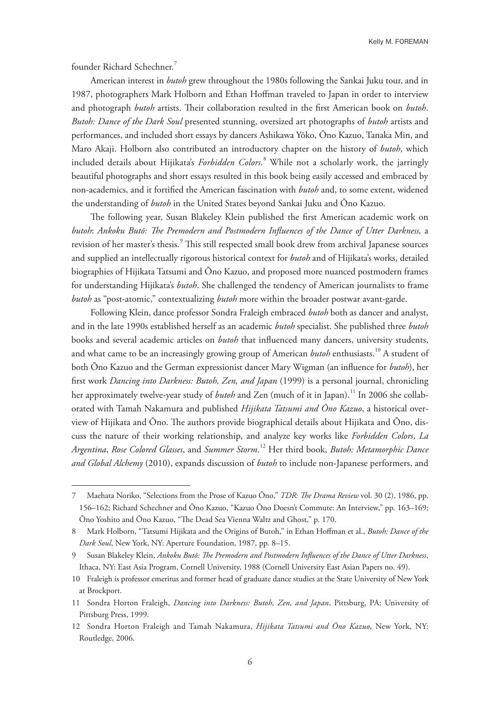Kelly M. FOREMAN

founder Richard Schechner.<sup>7</sup>

American interest in *butoh* grew throughout the 1980s following the Sankai Juku tour, and in 1987, photographers Mark Holborn and Ethan Hofman traveled to Japan in order to interview and photograph *butoh* artists. Their collaboration resulted in the first American book on *butoh*. *Butoh: Dance of the Dark Soul* presented stunning, oversized art photographs of *butoh* artists and performances, and included short essays by dancers Ashikawa Yōko, Ōno Kazuo, Tanaka Min, and Maro Akaji. Holborn also contributed an introductory chapter on the history of *butoh*, which included details about Hijikata's *Forbidden Colors*. 8 While not a scholarly work, the jarringly beautiful photographs and short essays resulted in this book being easily accessed and embraced by non-academics, and it fortifed the American fascination with *butoh* and, to some extent, widened the understanding of *butoh* in the United States beyond Sankai Juku and Ōno Kazuo.

The following year, Susan Blakeley Klein published the first American academic work on *butoh*: *Ankoku Butō: Te Premodern and Postmodern Infuences of the Dance of Utter Darkness,* a revision of her master's thesis.<sup>9</sup> This still respected small book drew from archival Japanese sources and supplied an intellectually rigorous historical context for *butoh* and of Hijikata's works, detailed biographies of Hijikata Tatsumi and Ōno Kazuo, and proposed more nuanced postmodern frames for understanding Hijikata's *butoh*. She challenged the tendency of American journalists to frame *butoh* as "post-atomic," contextualizing *butoh* more within the broader postwar avant-garde.

Following Klein, dance professor Sondra Fraleigh embraced *butoh* both as dancer and analyst, and in the late 1990s established herself as an academic *butoh* specialist. She published three *butoh* books and several academic articles on *butoh* that infuenced many dancers, university students, and what came to be an increasingly growing group of American *butoh* enthusiasts.<sup>10</sup> A student of both Ōno Kazuo and the German expressionist dancer Mary Wigman (an infuence for *butoh*), her frst work *Dancing into Darkness: Butoh, Zen, and Japan* (1999) is a personal journal, chronicling her approximately twelve-year study of *butoh* and Zen (much of it in Japan).<sup>11</sup> In 2006 she collaborated with Tamah Nakamura and published *Hijikata Tatsumi and Ōno Kazuo*, a historical overview of Hijikata and Ōno. The authors provide biographical details about Hijikata and Ōno, discuss the nature of their working relationship, and analyze key works like *Forbidden Colors*, *La Argentina*, *Rose Colored Glasses*, and *Summer Storm*. 12 Her third book, *Butoh: Metamorphic Dance and Global Alchemy* (2010), expands discussion of *butoh* to include non-Japanese performers, and

<sup>7</sup> Maehata Noriko, "Selections from the Prose of Kazuo Ōno," *TDR: Te Drama Review* vol. 30 (2), 1986, pp. 156–162; Richard Schechner and Ōno Kazuo, "Kazuo Ōno Doesn't Commute: An Interview," pp. 163–169; Ōno Yoshito and Ōno Kazuo, "The Dead Sea Vienna Waltz and Ghost," p. 170.

<sup>8</sup> Mark Holborn, "Tatsumi Hijikata and the Origins of Butoh," in Ethan Hofman et al., *Butoh: Dance of the Dark Soul*, New York, NY: Aperture Foundation, 1987, pp. 8–15.

<sup>9</sup> Susan Blakeley Klein, *Ankoku Butō: Te Premodern and Postmodern Infuences of the Dance of Utter Darkness*, Ithaca, NY: East Asia Program, Cornell University, 1988 (Cornell University East Asian Papers no. 49).

<sup>10</sup> Fraleigh is professor emeritus and former head of graduate dance studies at the State University of New York at Brockport.

<sup>11</sup> Sondra Horton Fraleigh, *Dancing into Darkness: Butoh, Zen, and Japan*, Pittsburg, PA: University of Pittsburg Press, 1999.

<sup>12</sup> Sondra Horton Fraleigh and Tamah Nakamura, *Hijikata Tatsumi and Ōno Kazuo*, New York, NY: Routledge, 2006.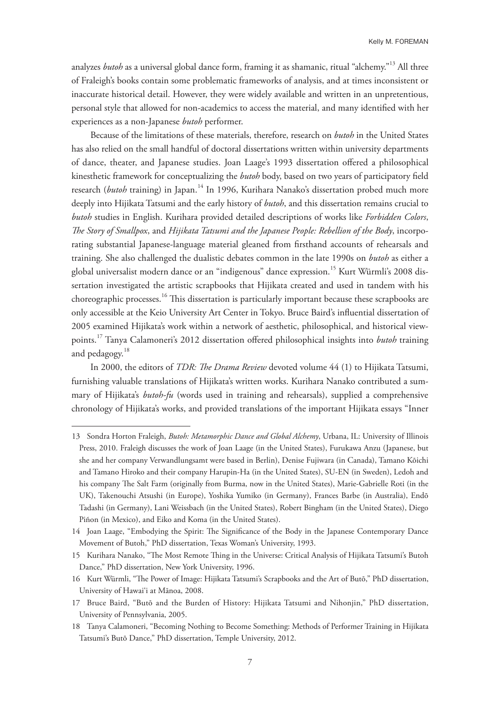analyzes *butoh* as a universal global dance form, framing it as shamanic, ritual "alchemy."13 All three of Fraleigh's books contain some problematic frameworks of analysis, and at times inconsistent or inaccurate historical detail. However, they were widely available and written in an unpretentious, personal style that allowed for non-academics to access the material, and many identifed with her experiences as a non-Japanese *butoh* performer.

Because of the limitations of these materials, therefore, research on *butoh* in the United States has also relied on the small handful of doctoral dissertations written within university departments of dance, theater, and Japanese studies. Joan Laage's 1993 dissertation ofered a philosophical kinesthetic framework for conceptualizing the *butoh* body, based on two years of participatory feld research (*butoh* training) in Japan.<sup>14</sup> In 1996, Kurihara Nanako's dissertation probed much more deeply into Hijikata Tatsumi and the early history of *butoh*, and this dissertation remains crucial to *butoh* studies in English. Kurihara provided detailed descriptions of works like *Forbidden Colors*, *Te Story of Smallpox*, and *Hijikata Tatsumi and the Japanese People: Rebellion of the Body*, incorporating substantial Japanese-language material gleaned from frsthand accounts of rehearsals and training. She also challenged the dualistic debates common in the late 1990s on *butoh* as either a global universalist modern dance or an "indigenous" dance expression.<sup>15</sup> Kurt Würmli's 2008 dissertation investigated the artistic scrapbooks that Hijikata created and used in tandem with his choreographic processes.<sup>16</sup> This dissertation is particularly important because these scrapbooks are only accessible at the Keio University Art Center in Tokyo. Bruce Baird's infuential dissertation of 2005 examined Hijikata's work within a network of aesthetic, philosophical, and historical viewpoints.17 Tanya Calamoneri's 2012 dissertation ofered philosophical insights into *butoh* training and pedagogy.<sup>18</sup>

In 2000, the editors of *TDR: The Drama Review* devoted volume 44 (1) to Hijikata Tatsumi, furnishing valuable translations of Hijikata's written works. Kurihara Nanako contributed a summary of Hijikata's *butoh-fu* (words used in training and rehearsals), supplied a comprehensive chronology of Hijikata's works, and provided translations of the important Hijikata essays "Inner

<sup>13</sup> Sondra Horton Fraleigh, *Butoh: Metamorphic Dance and Global Alchemy*, Urbana, IL: University of Illinois Press, 2010. Fraleigh discusses the work of Joan Laage (in the United States), Furukawa Anzu (Japanese, but she and her company Verwandlungsamt were based in Berlin), Denise Fujiwara (in Canada), Tamano Kōichi and Tamano Hiroko and their company Harupin-Ha (in the United States), SU-EN (in Sweden), Ledoh and his company The Salt Farm (originally from Burma, now in the United States), Marie-Gabrielle Roti (in the UK), Takenouchi Atsushi (in Europe), Yoshika Yumiko (in Germany), Frances Barbe (in Australia), Endō Tadashi (in Germany), Lani Weissbach (in the United States), Robert Bingham (in the United States), Diego Piñon (in Mexico), and Eiko and Koma (in the United States).

<sup>14</sup> Joan Laage, "Embodying the Spirit: The Significance of the Body in the Japanese Contemporary Dance Movement of Butoh," PhD dissertation, Texas Woman's University, 1993.

<sup>15</sup> Kurihara Nanako, "Te Most Remote Ting in the Universe: Critical Analysis of Hijikata Tatsumi's Butoh Dance," PhD dissertation, New York University, 1996.

<sup>16</sup> Kurt Würmli, "Te Power of Image: Hijikata Tatsumi's Scrapbooks and the Art of Butō," PhD dissertation, University of Hawai'i at Mānoa, 2008.

<sup>17</sup> Bruce Baird, "Butō and the Burden of History: Hijikata Tatsumi and Nihonjin," PhD dissertation, University of Pennsylvania, 2005.

<sup>18</sup> Tanya Calamoneri, "Becoming Nothing to Become Something: Methods of Performer Training in Hijikata Tatsumi's Butō Dance," PhD dissertation, Temple University, 2012.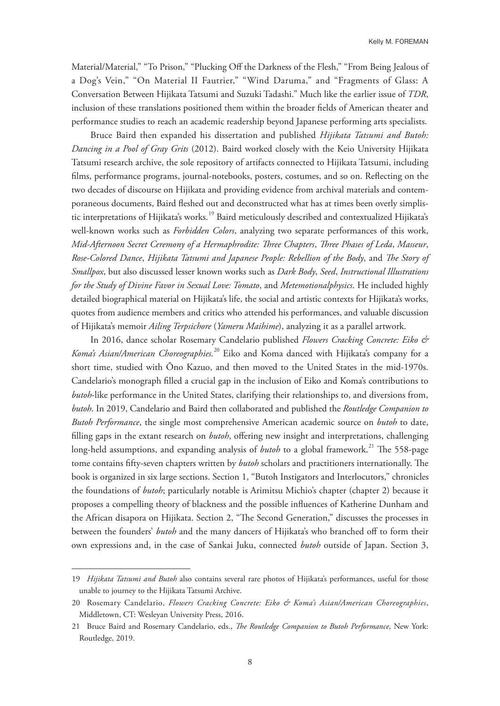Material/Material," "To Prison," "Plucking Off the Darkness of the Flesh," "From Being Jealous of a Dog's Vein," "On Material II Fautrier," "Wind Daruma," and "Fragments of Glass: A Conversation Between Hijikata Tatsumi and Suzuki Tadashi." Much like the earlier issue of *TDR*, inclusion of these translations positioned them within the broader felds of American theater and performance studies to reach an academic readership beyond Japanese performing arts specialists.

Bruce Baird then expanded his dissertation and published *Hijikata Tatsumi and Butoh: Dancing in a Pool of Gray Grits* (2012). Baird worked closely with the Keio University Hijikata Tatsumi research archive, the sole repository of artifacts connected to Hijikata Tatsumi, including flms, performance programs, journal-notebooks, posters, costumes, and so on. Refecting on the two decades of discourse on Hijikata and providing evidence from archival materials and contemporaneous documents, Baird feshed out and deconstructed what has at times been overly simplistic interpretations of Hijikata's works.<sup>19</sup> Baird meticulously described and contextualized Hijikata's well-known works such as *Forbidden Colors*, analyzing two separate performances of this work, *Mid-Afternoon Secret Ceremony of a Hermaphrodite: Tree Chapters*, *Tree Phases of Leda*, *Masseur*, Rose-Colored Dance, *Hijikata Tatsumi and Japanese People: Rebellion of the Body*, and *The Story of Smallpox*, but also discussed lesser known works such as *Dark Body*, *Seed*, *Instructional Illustrations for the Study of Divine Favor in Sexual Love: Tomato*, and *Metemotionalphysics*. He included highly detailed biographical material on Hijikata's life, the social and artistic contexts for Hijikata's works, quotes from audience members and critics who attended his performances, and valuable discussion of Hijikata's memoir *Ailing Terpsichore* (*Yameru Maihime*), analyzing it as a parallel artwork.

In 2016, dance scholar Rosemary Candelario published *Flowers Cracking Concrete: Eiko & Koma's Asian/American Choreographies.*20 Eiko and Koma danced with Hijikata's company for a short time, studied with Ōno Kazuo, and then moved to the United States in the mid-1970s. Candelario's monograph flled a crucial gap in the inclusion of Eiko and Koma's contributions to *butoh*-like performance in the United States, clarifying their relationships to, and diversions from, *butoh*. In 2019, Candelario and Baird then collaborated and published the *Routledge Companion to Butoh Performance*, the single most comprehensive American academic source on *butoh* to date, filling gaps in the extant research on *butoh*, offering new insight and interpretations, challenging long-held assumptions, and expanding analysis of *butoh* to a global framework.<sup>21</sup> The 558-page tome contains fifty-seven chapters written by *butoh* scholars and practitioners internationally. The book is organized in six large sections. Section 1, "Butoh Instigators and Interlocutors," chronicles the foundations of *butoh*; particularly notable is Arimitsu Michio's chapter (chapter 2) because it proposes a compelling theory of blackness and the possible infuences of Katherine Dunham and the African disapora on Hijikata. Section 2, "The Second Generation," discusses the processes in between the founders' *butoh* and the many dancers of Hijikata's who branched of to form their own expressions and, in the case of Sankai Juku, connected *butoh* outside of Japan. Section 3,

<sup>19</sup> *Hijikata Tatsumi and Butoh* also contains several rare photos of Hijikata's performances, useful for those unable to journey to the Hijikata Tatsumi Archive.

<sup>20</sup> Rosemary Candelario, *Flowers Cracking Concrete: Eiko & Koma's Asian/American Choreographies*, Middletown, CT: Wesleyan University Press, 2016.

<sup>21</sup> Bruce Baird and Rosemary Candelario, eds., *Te Routledge Companion to Butoh Performance*, New York: Routledge, 2019.